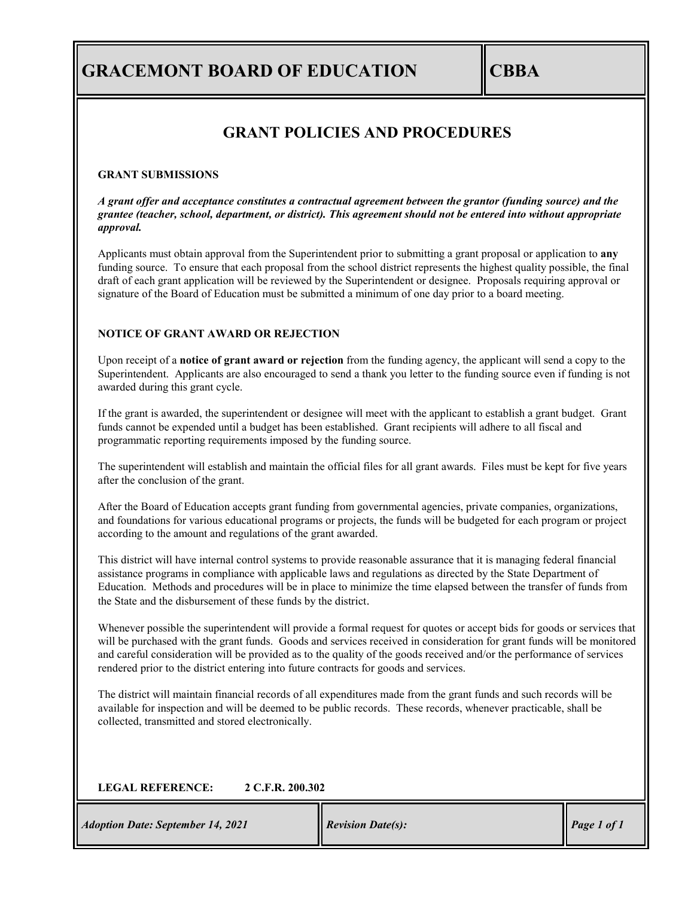# **GRACEMONT BOARD OF EDUCATION CBBA**

## **GRANT POLICIES AND PROCEDURES**

#### **GRANT SUBMISSIONS**

*A grant offer and acceptance constitutes a contractual agreement between the grantor (funding source) and the grantee (teacher, school, department, or district). This agreement should not be entered into without appropriate approval.* 

Applicants must obtain approval from the Superintendent prior to submitting a grant proposal or application to **any**  funding source. To ensure that each proposal from the school district represents the highest quality possible, the final draft of each grant application will be reviewed by the Superintendent or designee. Proposals requiring approval or signature of the Board of Education must be submitted a minimum of one day prior to a board meeting.

#### **NOTICE OF GRANT AWARD OR REJECTION**

Upon receipt of a **notice of grant award or rejection** from the funding agency, the applicant will send a copy to the Superintendent. Applicants are also encouraged to send a thank you letter to the funding source even if funding is not awarded during this grant cycle.

If the grant is awarded, the superintendent or designee will meet with the applicant to establish a grant budget. Grant funds cannot be expended until a budget has been established. Grant recipients will adhere to all fiscal and programmatic reporting requirements imposed by the funding source.

The superintendent will establish and maintain the official files for all grant awards. Files must be kept for five years after the conclusion of the grant.

After the Board of Education accepts grant funding from governmental agencies, private companies, organizations, and foundations for various educational programs or projects, the funds will be budgeted for each program or project according to the amount and regulations of the grant awarded.

This district will have internal control systems to provide reasonable assurance that it is managing federal financial assistance programs in compliance with applicable laws and regulations as directed by the State Department of Education. Methods and procedures will be in place to minimize the time elapsed between the transfer of funds from the State and the disbursement of these funds by the district.

Whenever possible the superintendent will provide a formal request for quotes or accept bids for goods or services that will be purchased with the grant funds. Goods and services received in consideration for grant funds will be monitored and careful consideration will be provided as to the quality of the goods received and/or the performance of services rendered prior to the district entering into future contracts for goods and services.

The district will maintain financial records of all expenditures made from the grant funds and such records will be available for inspection and will be deemed to be public records. These records, whenever practicable, shall be collected, transmitted and stored electronically.

### **LEGAL REFERENCE: 2 C.F.R. 200.302**

*Adoption Date: September 14, 2021 Revision Date(s):* Page 1 *of 1*